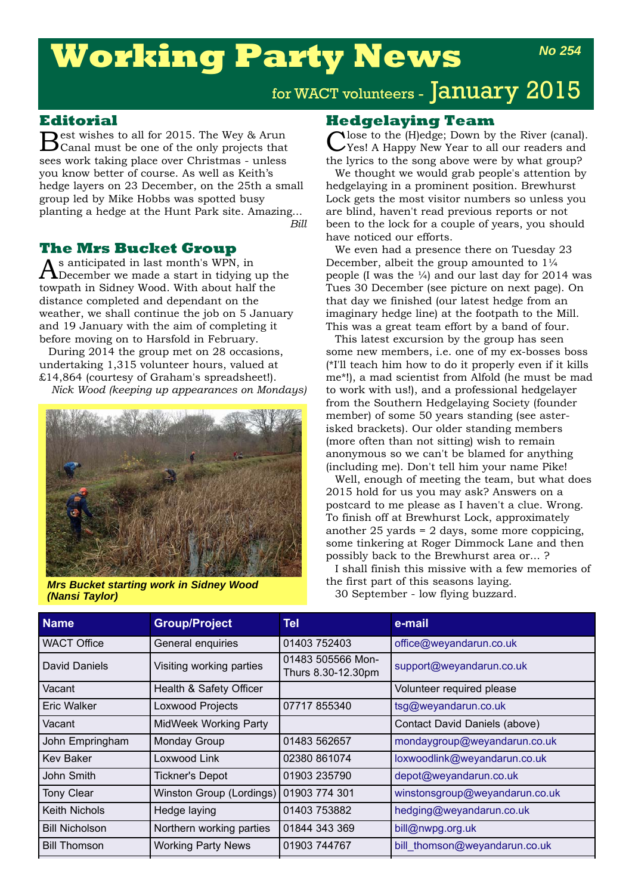# **Working Party News**

## for WACT volunteers - January 2015

### **Editorial**

Best wishes to all for 2015. The Wey & Arun Canal must be one of the only projects that sees work taking place over Christmas - unless you know better of course. As well as Keith's hedge layers on 23 December, on the 25th a small group led by Mike Hobbs was spotted busy planting a hedge at the Hunt Park site. Amazing... *Bill*

#### **The Mrs Bucket Group**

 $\bigwedge$ s anticipated in last month's WPN, in<br> $\bigwedge$ December we made a start in tidying up the towpath in Sidney Wood. With about half the distance completed and dependant on the weather, we shall continue the job on 5 January and 19 January with the aim of completing it before moving on to Harsfold in February.

During 2014 the group met on 28 occasions, undertaking 1,315 volunteer hours, valued at £14,864 (courtesy of Graham's spreadsheet!).

*Nick Wood (keeping up appearances on Mondays)*



**Mrs Bucket starting work in Sidney Wood** by the first part of this seasons laying.<br>**(Nansi Taylor)** 30 September - low flying buzzard. *(Nansi Taylor)*

**Hedgelaying Team**<br>Close to the (H)edge; Down by the River (canal). Close to the (H)edge; Down by the River (canal). Yes! A Happy New Year to all our readers and the lyrics to the song above were by what group?

We thought we would grab people's attention by hedgelaying in a prominent position. Brewhurst Lock gets the most visitor numbers so unless you are blind, haven't read previous reports or not been to the lock for a couple of years, you should have noticed our efforts.

We even had a presence there on Tuesday 23 December, albeit the group amounted to 1¼ people (I was the  $\frac{1}{4}$ ) and our last day for 2014 was Tues 30 December (see picture on next page). On that day we finished (our latest hedge from an imaginary hedge line) at the footpath to the Mill. This was a great team effort by a band of four.

This latest excursion by the group has seen some new members, i.e. one of my ex-bosses boss (\*I'll teach him how to do it properly even if it kills me\*!), a mad scientist from Alfold (he must be mad to work with us!), and a professional hedgelayer from the Southern Hedgelaying Society (founder member) of some 50 years standing (see asterisked brackets). Our older standing members (more often than not sitting) wish to remain anonymous so we can't be blamed for anything (including me). Don't tell him your name Pike!

Well, enough of meeting the team, but what does 2015 hold for us you may ask? Answers on a postcard to me please as I haven't a clue. Wrong. To finish off at Brewhurst Lock, approximately another  $25$  yards =  $2$  days, some more coppicing, some tinkering at Roger Dimmock Lane and then possibly back to the Brewhurst area or... ?

I shall finish this missive with a few memories of the first part of this seasons laying.

| <b>Name</b>           | <b>Group/Project</b>         | Tel                                     | e-mail                         |
|-----------------------|------------------------------|-----------------------------------------|--------------------------------|
| <b>WACT Office</b>    | General enquiries            | 01403 752403                            | office@weyandarun.co.uk        |
| David Daniels         | Visiting working parties     | 01483 505566 Mon-<br>Thurs 8.30-12.30pm | support@weyandarun.co.uk       |
| Vacant                | Health & Safety Officer      |                                         | Volunteer required please      |
| Eric Walker           | Loxwood Projects             | 07717 855340                            | tsg@weyandarun.co.uk           |
| Vacant                | <b>MidWeek Working Party</b> |                                         | Contact David Daniels (above)  |
| John Empringham       | Monday Group                 | 01483 562657                            | mondaygroup@weyandarun.co.uk   |
| <b>Kev Baker</b>      | Loxwood Link                 | 02380 861074                            | loxwoodlink@weyandarun.co.uk   |
| John Smith            | <b>Tickner's Depot</b>       | 01903 235790                            | depot@weyandarun.co.uk         |
| <b>Tony Clear</b>     | Winston Group (Lordings)     | 01903 774 301                           | winstonsgroup@weyandarun.co.uk |
| <b>Keith Nichols</b>  | Hedge laying                 | 01403 753882                            | hedging@weyandarun.co.uk       |
| <b>Bill Nicholson</b> | Northern working parties     | 01844 343 369                           | bill@nwpg.org.uk               |
| <b>Bill Thomson</b>   | <b>Working Party News</b>    | 01903 744767                            | bill_thomson@weyandarun.co.uk  |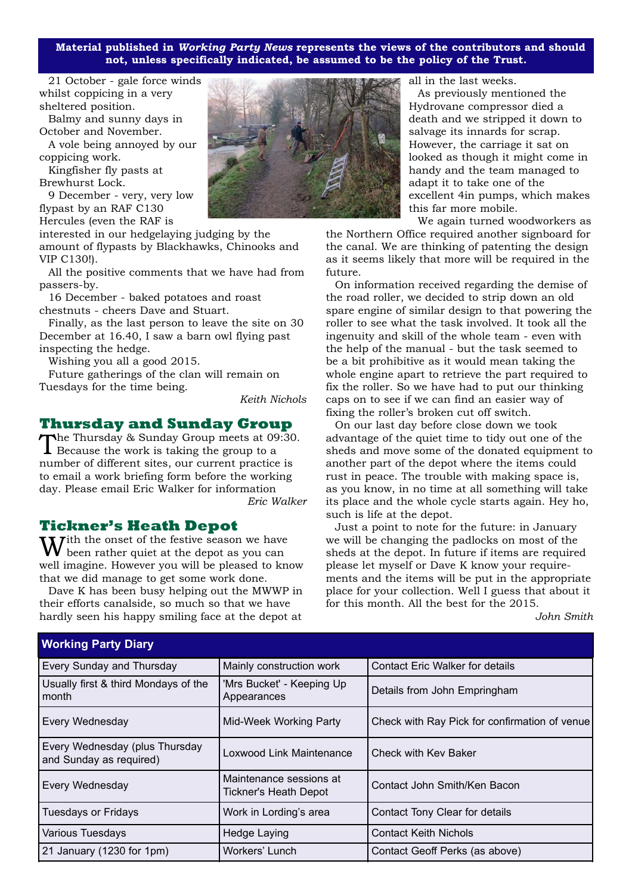**Material published in** *Working Party News* **represents the views of the contributors and should not, unless specifically indicated, be assumed to be the policy of the Trust.**

21 October - gale force winds whilst coppicing in a very sheltered position.

Balmy and sunny days in October and November.

A vole being annoyed by our coppicing work.

Kingfisher fly pasts at Brewhurst Lock.

9 December - very, very low flypast by an RAF C130 Hercules (even the RAF is

interested in our hedgelaying judging by the amount of flypasts by Blackhawks, Chinooks and VIP C130!).

All the positive comments that we have had from passers-by.

16 December - baked potatoes and roast chestnuts - cheers Dave and Stuart.

Finally, as the last person to leave the site on 30 December at 16.40, I saw a barn owl flying past inspecting the hedge.

Wishing you all a good 2015.

Future gatherings of the clan will remain on Tuesdays for the time being.

*Keith Nichols*

#### **Thursday and Sunday Group**

The Thursday & Sunday Group meets at 09:30.  $\perp$  Because the work is taking the group to a number of different sites, our current practice is to email a work briefing form before the working day. Please email Eric Walker for information *Eric Walker*

**Tickner's Heath Depot**

 $\boldsymbol{W}$ ith the onset of the festive season we have been rather quiet at the depot as you can well imagine. However you will be pleased to know that we did manage to get some work done.

Dave K has been busy helping out the MWWP in their efforts canalside, so much so that we have hardly seen his happy smiling face at the depot at



all in the last weeks.

As previously mentioned the Hydrovane compressor died a death and we stripped it down to salvage its innards for scrap. However, the carriage it sat on looked as though it might come in handy and the team managed to adapt it to take one of the excellent 4in pumps, which makes this far more mobile.

We again turned woodworkers as

the Northern Office required another signboard for the canal. We are thinking of patenting the design as it seems likely that more will be required in the future.

On information received regarding the demise of the road roller, we decided to strip down an old spare engine of similar design to that powering the roller to see what the task involved. It took all the ingenuity and skill of the whole team - even with the help of the manual - but the task seemed to be a bit prohibitive as it would mean taking the whole engine apart to retrieve the part required to fix the roller. So we have had to put our thinking caps on to see if we can find an easier way of fixing the roller's broken cut off switch.

On our last day before close down we took advantage of the quiet time to tidy out one of the sheds and move some of the donated equipment to another part of the depot where the items could rust in peace. The trouble with making space is, as you know, in no time at all something will take its place and the whole cycle starts again. Hey ho, such is life at the depot.

Just a point to note for the future: in January we will be changing the padlocks on most of the sheds at the depot. In future if items are required please let myself or Dave K know your requirements and the items will be put in the appropriate place for your collection. Well I guess that about it for this month. All the best for the 2015.

*John Smith*

| Working Party Diary                                       |                                                         |                                               |  |  |
|-----------------------------------------------------------|---------------------------------------------------------|-----------------------------------------------|--|--|
| Every Sunday and Thursday                                 | Mainly construction work                                | <b>Contact Eric Walker for details</b>        |  |  |
| Usually first & third Mondays of the<br>month             | 'Mrs Bucket' - Keeping Up<br>Appearances                | Details from John Empringham                  |  |  |
| Every Wednesday                                           | Mid-Week Working Party                                  | Check with Ray Pick for confirmation of venue |  |  |
| Every Wednesday (plus Thursday<br>and Sunday as required) | Loxwood Link Maintenance                                | Check with Kev Baker                          |  |  |
| Every Wednesday                                           | Maintenance sessions at<br><b>Tickner's Heath Depot</b> | Contact John Smith/Ken Bacon                  |  |  |
| <b>Tuesdays or Fridays</b>                                | Work in Lording's area                                  | Contact Tony Clear for details                |  |  |
| Various Tuesdays                                          | Hedge Laying                                            | <b>Contact Keith Nichols</b>                  |  |  |
| 21 January (1230 for 1pm)                                 | Workers' Lunch                                          | Contact Geoff Perks (as above)                |  |  |

#### **Working Party Diary**